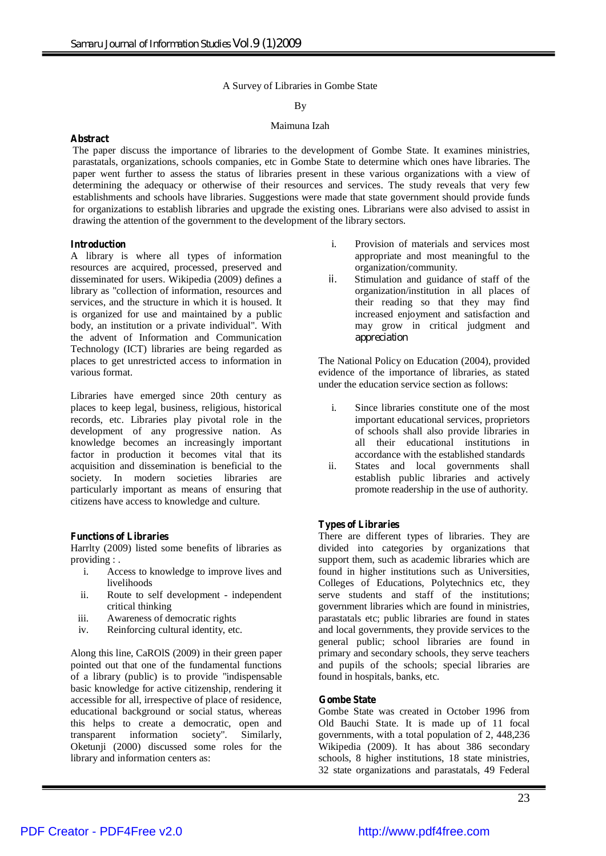### A Survey of Libraries in Gombe State

#### By

#### Maimuna Izah

#### **Abstract**

The paper discuss the importance of libraries to the development of Gombe State. It examines ministries, parastatals, organizations, schools companies, etc in Gombe State to determine which ones have libraries. The paper went further to assess the status of libraries present in these various organizations with a view of determining the adequacy or otherwise of their resources and services. The study reveals that very few establishments and schools have libraries. Suggestions were made that state government should provide funds for organizations to establish libraries and upgrade the existing ones. Librarians were also advised to assist in drawing the attention of the government to the development of the library sectors.

#### **Introduction**

A library is where all types of information resources are acquired, processed, preserved and disseminated for users. Wikipedia (2009) defines a library as "collection of information, resources and services, and the structure in which it is housed. It is organized for use and maintained by a public body, an institution or a private individual". With the advent of Information and Communication Technology (ICT) libraries are being regarded as places to get unrestricted access to information in various format.

Libraries have emerged since 20th century as places to keep legal, business, religious, historical records, etc. Libraries play pivotal role in the development of any progressive nation. As knowledge becomes an increasingly important factor in production it becomes vital that its acquisition and dissemination is beneficial to the society. In modern societies libraries are particularly important as means of ensuring that citizens have access to knowledge and culture.

### **Functions of Libraries**

Harrlty (2009) listed some benefits of libraries as providing : .

- i. Access to knowledge to improve lives and livelihoods
- ii. Route to self development independent critical thinking
- iii. Awareness of democratic rights
- iv. Reinforcing cultural identity, etc.

Along this line, CaROlS (2009) in their green paper pointed out that one of the fundamental functions of a library (public) is to provide "indispensable basic knowledge for active citizenship, rendering it accessible for all, irrespective of place of residence, educational background or social status, whereas this helps to create a democratic, open and transparent information society". Similarly, Oketunji (2000) discussed some roles for the library and information centers as:

- i. Provision of materials and services most appropriate and most meaningful to the organization/community.
- *ii.* Stimulation and guidance of staff of the organization/institution in all places of their reading so that they may find increased enjoyment and satisfaction and may grow in critical judgment and *appreciation*

The National Policy on Education (2004), provided evidence of the importance of libraries, as stated under the education service section as follows:

- i. Since libraries constitute one of the most important educational services, proprietors of schools shall also provide libraries in all their educational institutions in accordance with the established standards
- ii. States and local governments shall establish public libraries and actively promote readership in the use of authority.

#### **Types of Libraries**

There are different types of libraries. They are divided into categories by organizations that support them, such as academic libraries which are found in higher institutions such as Universities, Colleges of Educations, Polytechnics etc, they serve students and staff of the institutions; government libraries which are found in ministries, parastatals etc; public libraries are found in states and local governments, they provide services to the general public; school libraries are found in primary and secondary schools, they serve teachers and pupils of the schools; special libraries are found in hospitals, banks, etc.

### **Gombe State**

Gombe State was created in October 1996 from Old Bauchi State. It is made up of 11 focal governments, with a total population of 2, 448,236 Wikipedia (2009). It has about 386 secondary schools, 8 higher institutions, 18 state ministries, 32 state organizations and parastatals, 49 Federal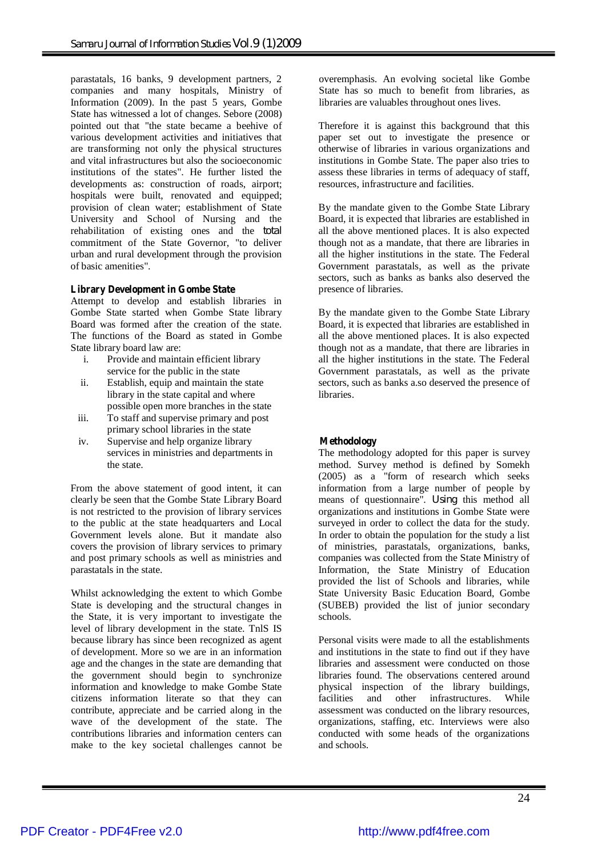parastatals, 16 banks, 9 development partners, 2 companies and many hospitals, Ministry of Information (2009). In the past 5 years, Gombe State has witnessed a lot of changes. Sebore (2008) pointed out that "the state became a beehive of various development activities and initiatives that are transforming not only the physical structures and vital infrastructures but also the socioeconomic institutions of the states". He further listed the developments as: construction of roads, airport; hospitals were built, renovated and equipped; provision of clean water; establishment of State University and School of Nursing and the rehabilitation of existing ones and the *total* commitment of the State Governor, "to deliver urban and rural development through the provision of basic amenities".

# **Library Development in Gombe State**

Attempt to develop and establish libraries in Gombe State started when Gombe State library Board was formed after the creation of the state. The functions of the Board as stated in Gombe State library board law are:

- i. Provide and maintain efficient library service for the public in the state
- ii. Establish, equip and maintain the state library in the state capital and where possible open more branches in the state
- iii. To staff and supervise primary and post primary school libraries in the state
- iv. Supervise and help organize library services in ministries and departments in the state.

From the above statement of good intent, it can clearly be seen that the Gombe State Library Board is not restricted to the provision of library services to the public at the state headquarters and Local Government levels alone. But it mandate also covers the provision of library services to primary and post primary schools as well as ministries and parastatals in the state.

Whilst acknowledging the extent to which Gombe State is developing and the structural changes in the State, it is very important to investigate the level of library development in the state. TnlS IS because library has since been recognized as agent of development. More so we are in an information age and the changes in the state are demanding that the government should begin to synchronize information and knowledge to make Gombe State citizens information literate so that they can contribute, appreciate and be carried along in the wave of the development of the state. The contributions libraries and information centers can make to the key societal challenges cannot be

overemphasis. An evolving societal like Gombe State has so much to benefit from libraries, as libraries are valuables throughout ones lives.

Therefore it is against this background that this paper set out to investigate the presence or otherwise of libraries in various organizations and institutions in Gombe State. The paper also tries to assess these libraries in terms of adequacy of staff, resources, infrastructure and facilities.

By the mandate given to the Gombe State Library Board, it is expected that libraries are established in all the above mentioned places. It is also expected though not as a mandate, that there are libraries in all the higher institutions in the state. The Federal Government parastatals, as well as the private sectors, such as banks as banks also deserved the presence of libraries.

By the mandate given to the Gombe State Library Board, it is expected that libraries are established in all the above mentioned places. It is also expected though not as a mandate, that there are libraries in all the higher institutions in the state. The Federal Government parastatals, as well as the private sectors, such as banks a.so deserved the presence of libraries.

# **Methodology**

The methodology adopted for this paper is survey method. Survey method is defined by Somekh (2005) as a "form of research which seeks information from a large number of people by means of questionnaire". *Using* this method all organizations and institutions in Gombe State were surveyed in order to collect the data for the study. In order to obtain the population for the study a list of ministries, parastatals, organizations, banks, companies was collected from the State Ministry of Information, the State Ministry of Education provided the list of Schools and libraries, while State University Basic Education Board, Gombe (SUBEB) provided the list of junior secondary schools.

Personal visits were made to all the establishments and institutions in the state to find out if they have libraries and assessment were conducted on those libraries found. The observations centered around physical inspection of the library buildings, facilities and other infrastructures. While assessment was conducted on the library resources, organizations, staffing, etc. Interviews were also conducted with some heads of the organizations and schools.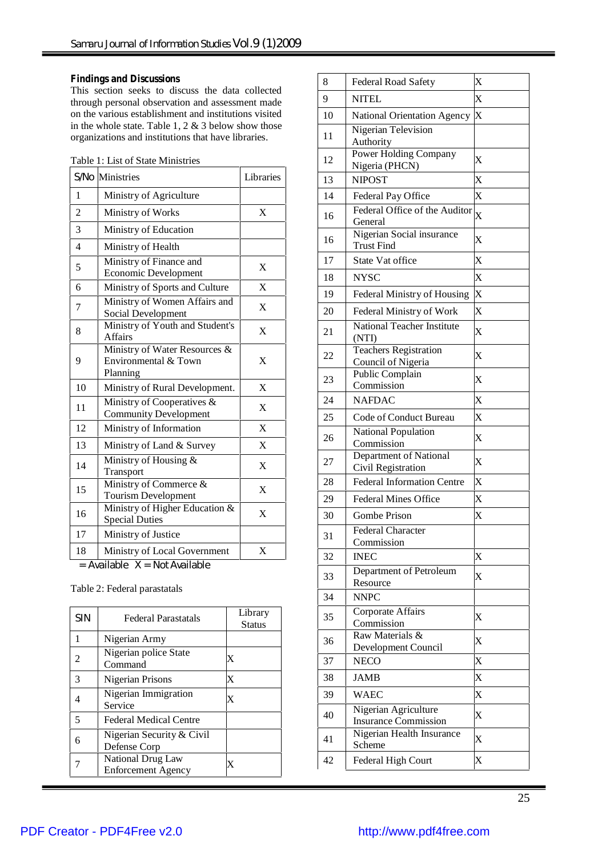# **Findings and Discussions**

This section seeks to discuss the data collected through personal observation and assessment made on the various establishment and institutions visited in the whole state. Table 1, 2  $\&$  3 below show those organizations and institutions that have libraries.

Table 1: List of State Ministries

|                | S/No Ministries                                                   | Libraries |
|----------------|-------------------------------------------------------------------|-----------|
| 1              | Ministry of Agriculture                                           |           |
| $\overline{2}$ | Ministry of Works                                                 | X         |
| 3              | Ministry of Education                                             |           |
| $\overline{4}$ | Ministry of Health                                                |           |
| 5              | Ministry of Finance and<br><b>Economic Development</b>            | X         |
| 6              | Ministry of Sports and Culture                                    | X         |
| 7              | Ministry of Women Affairs and<br>Social Development               | X         |
| 8              | Ministry of Youth and Student's<br>Affairs                        | X         |
| 9              | Ministry of Water Resources &<br>Environmental & Town<br>Planning | X         |
| 10             | Ministry of Rural Development.                                    | X         |
| 11             | Ministry of Cooperatives &<br><b>Community Development</b>        | X         |
| 12             | Ministry of Information                                           | X         |
| 13             | Ministry of Land & Survey                                         | X         |
| 14             | Ministry of Housing &<br>Transport                                | X         |
| 15             | Ministry of Commerce $\&$<br><b>Tourism Development</b>           | X         |
| 16             | Ministry of Higher Education &<br><b>Special Duties</b>           | X         |
| 17             | Ministry of Justice                                               |           |
| 18             | Ministry of Local Government                                      | X         |

*= Available X = Not Available*

# Table 2: Federal parastatals

| SIN | <b>Federal Parastatals</b>                     | Library<br><b>Status</b> |
|-----|------------------------------------------------|--------------------------|
| 1   | Nigerian Army                                  |                          |
| 2   | Nigerian police State<br>Command               | X                        |
| 3   | Nigerian Prisons                               | X                        |
| 4   | Nigerian Immigration<br>Service                | X                        |
| 5   | <b>Federal Medical Centre</b>                  |                          |
| 6   | Nigerian Security & Civil<br>Defense Corp      |                          |
|     | National Drug Law<br><b>Enforcement Agency</b> |                          |

| 8  | Federal Road Safety<br>X                            |   |
|----|-----------------------------------------------------|---|
| 9  | <b>NITEL</b>                                        | X |
| 10 | <b>National Orientation Agency</b>                  | X |
| 11 | Nigerian Television                                 |   |
|    | Authority<br>Power Holding Company                  |   |
| 12 | Nigeria (PHCN)                                      | X |
| 13 | <b>NIPOST</b>                                       | X |
| 14 | Federal Pay Office                                  | X |
| 16 | Federal Office of the Auditor<br>General            | X |
| 16 | Nigerian Social insurance<br><b>Trust Find</b>      | X |
| 17 | State Vat office                                    | X |
| 18 | <b>NYSC</b>                                         | X |
| 19 | Federal Ministry of Housing                         | X |
| 20 | Federal Ministry of Work                            | X |
| 21 | National Teacher Institute                          | X |
|    | (NTI)                                               |   |
| 22 | <b>Teachers Registration</b><br>Council of Nigeria  | X |
| 23 | Public Complain<br>Commission                       | X |
| 24 | <b>NAFDAC</b>                                       | X |
| 25 | Code of Conduct Bureau                              | X |
| 26 | National Population<br>Commission                   | X |
| 27 | Department of National<br>Civil Registration        | X |
| 28 | <b>Federal Information Centre</b>                   | X |
| 29 | <b>Federal Mines Office</b>                         | X |
| 30 | Gombe Prison                                        | X |
| 31 | <b>Federal Character</b>                            |   |
|    | Commission                                          |   |
| 32 | <b>INEC</b><br>Department of Petroleum              | X |
| 33 | Resource                                            | X |
| 34 | <b>NNPC</b>                                         |   |
| 35 | Corporate Affairs<br>Commission                     | X |
| 36 | Raw Materials &<br>Development Council              | X |
| 37 | <b>NECO</b>                                         | X |
| 38 | JAMB                                                | X |
| 39 | WAEC                                                | X |
| 40 | Nigerian Agriculture<br><b>Insurance Commission</b> | X |
| 41 | Nigerian Health Insurance<br>Scheme                 | X |
| 42 | Federal High Court                                  | X |
|    |                                                     |   |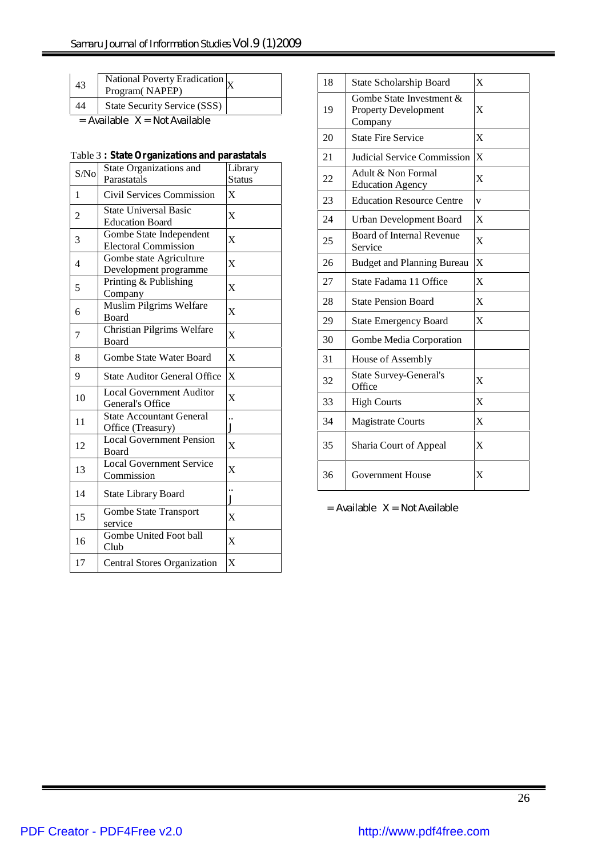|                                    | 43 | National Poverty Eradication $\vert_{\mathbf{v}}$<br>Program(NAPEP) |
|------------------------------------|----|---------------------------------------------------------------------|
| State Security Service (SSS)<br>44 |    |                                                                     |

*= Available X = Not Available*

# Table 3 **: State Organizations and parastatals**

| S/No           | State Organizations and                                | Library                   |
|----------------|--------------------------------------------------------|---------------------------|
|                | Parastatals                                            | <b>Status</b>             |
| 1              | Civil Services Commission                              | X                         |
| 2              | <b>State Universal Basic</b><br><b>Education Board</b> | X                         |
| 3              | Gombe State Independent<br><b>Electoral Commission</b> | X                         |
| $\overline{4}$ | Gombe state Agriculture<br>Development programme       | X                         |
| 5              | Printing & Publishing<br>Company                       | X                         |
| 6              | Muslim Pilgrims Welfare<br>Board                       | X                         |
| 7              | Christian Pilgrims Welfare<br>Board                    | X                         |
| 8              | Gombe State Water Board                                | $\mathbf{X}$              |
| 9              | <b>State Auditor General Office</b>                    | X                         |
| 10             | <b>Local Government Auditor</b><br>General's Office    | X                         |
| 11             | <b>State Accountant General</b><br>Office (Treasury)   | $\ddot{\cdot}$<br>J       |
| 12             | <b>Local Government Pension</b><br>Board               | X                         |
| 13             | <b>Local Government Service</b><br>Commission          | X                         |
| 14             | <b>State Library Board</b>                             | $\ddot{\phantom{a}}$<br>J |
| 15             | Gombe State Transport<br>service                       | X                         |
| 16             | Gombe United Foot ball<br>Club                         | X                         |
| 17             | <b>Central Stores Organization</b>                     | X                         |

| 18 | <b>State Scholarship Board</b>                                     | X            |
|----|--------------------------------------------------------------------|--------------|
| 19 | Gombe State Investment &<br><b>Property Development</b><br>Company | X            |
| 20 | <b>State Fire Service</b>                                          | X            |
| 21 | Judicial Service Commission                                        | X            |
| 22 | Adult & Non Formal<br><b>Education Agency</b>                      | X            |
| 23 | <b>Education Resource Centre</b>                                   | V            |
| 24 | <b>Urban Development Board</b>                                     | X            |
| 25 | Board of Internal Revenue<br>Service                               | X            |
| 26 | <b>Budget and Planning Bureau</b>                                  | X            |
| 27 | State Fadama 11 Office                                             | X            |
| 28 | <b>State Pension Board</b>                                         | $\mathbf{X}$ |
| 29 | <b>State Emergency Board</b>                                       | X            |
| 30 | Gombe Media Corporation                                            |              |
| 31 | House of Assembly                                                  |              |
| 32 | <b>State Survey-General's</b><br>Office                            | X            |
| 33 | <b>High Courts</b>                                                 | X            |
| 34 | <b>Magistrate Courts</b>                                           | X            |
| 35 | Sharia Court of Appeal                                             | $\mathbf{X}$ |
| 36 | <b>Government House</b>                                            | X            |

*= Available X = Not Available*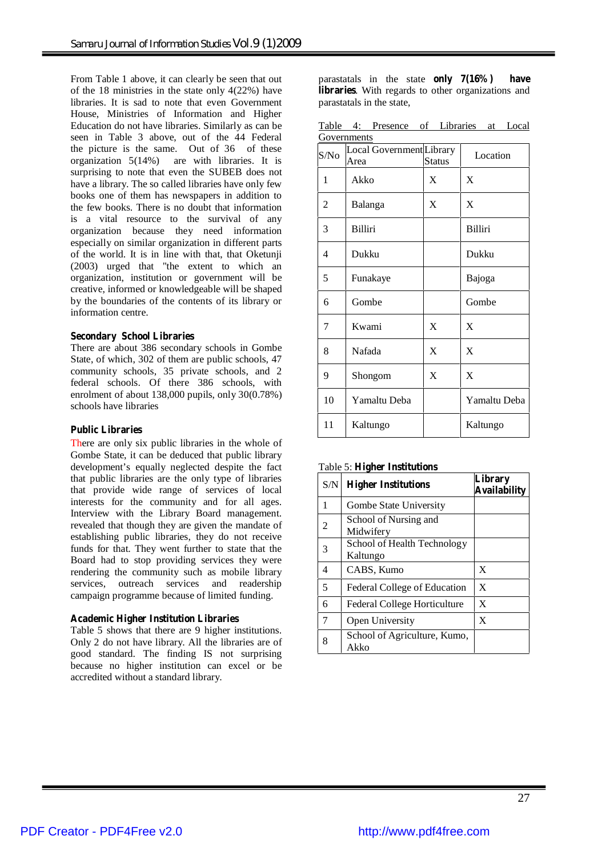From Table 1 above, it can clearly be seen that out of the 18 ministries in the state only 4(22%) have libraries. It is sad to note that even Government House, Ministries of Information and Higher Education do not have libraries. Similarly as can be seen in Table 3 above, out of the 44 Federal the picture is the same. Out of 36 of these organization 5(14%) are with libraries. It is surprising to note that even the SUBEB does not have a library. The so called libraries have only few books one of them has newspapers in addition to the few books. There is no doubt that information is a vital resource to the survival of any organization because they need information especially on similar organization in different parts of the world. It is in line with that, that Oketunji (2003) urged that "the extent to which an organization, institution or government will be creative, informed or knowledgeable will be shaped by the boundaries of the contents of its library or information centre.

# **Secondary School Libraries**

There are about 386 secondary schools in Gombe State, of which, 302 of them are public schools, 47 community schools, 35 private schools, and 2 federal schools. Of there 386 schools, with enrolment of about 138,000 pupils, only 30(0.78%) schools have libraries

# **Public Libraries**

There are only six public libraries in the whole of Gombe State, it can be deduced that public library development's equally neglected despite the fact that public libraries are the only type of libraries that provide wide range of services of local interests for the community and for all ages. Interview with the Library Board management. revealed that though they are given the mandate of establishing public libraries, they do not receive funds for that. They went further to state that the Board had to stop providing services they were rendering the community such as mobile library services, outreach services and readership campaign programme because of limited funding.

# **Academic Higher Institution Libraries**

Table 5 shows that there are 9 higher institutions. Only 2 do not have library. All the libraries are of good standard. The finding IS not surprising because no higher institution can excel or be accredited without a standard library.

parastatals in the state **only 7(16%) have libraries**. With regards to other organizations and parastatals in the state,

|             | Table 4: Presence of Libraries at Local |  |  |
|-------------|-----------------------------------------|--|--|
| Governments |                                         |  |  |

|      | OUVULIIILUILLO                   |               |              |
|------|----------------------------------|---------------|--------------|
| S/No | Local Government Library<br>Area | <b>Status</b> | Location     |
| 1    | Akko                             | X             | X            |
| 2    | Balanga                          | X             | X            |
| 3    | Billiri                          |               | Billiri      |
| 4    | Dukku                            |               | Dukku        |
| 5    | Funakaye                         |               | Bajoga       |
| 6    | Gombe                            |               | Gombe        |
| 7    | Kwami                            | X             | X            |
| 8    | Nafada                           | X             | X            |
| 9    | Shongom                          | X             | X            |
| 10   | Yamaltu Deba                     |               | Yamaltu Deba |
| 11   | Kaltungo                         |               | Kaltungo     |

### Table 5: **Higher Institutions**

| S/N                      | <b>Higher Institutions</b>              | Library<br>Availability |
|--------------------------|-----------------------------------------|-------------------------|
| 1                        | Gombe State University                  |                         |
| $\overline{\mathcal{L}}$ | School of Nursing and<br>Midwifery      |                         |
| 3                        | School of Health Technology<br>Kaltungo |                         |
| 4                        | CABS, Kumo                              | X                       |
| 5                        | <b>Federal College of Education</b>     | X                       |
| 6                        | Federal College Horticulture            | X                       |
| 7                        | Open University                         | X                       |
| 8                        | School of Agriculture, Kumo,<br>Akko    |                         |